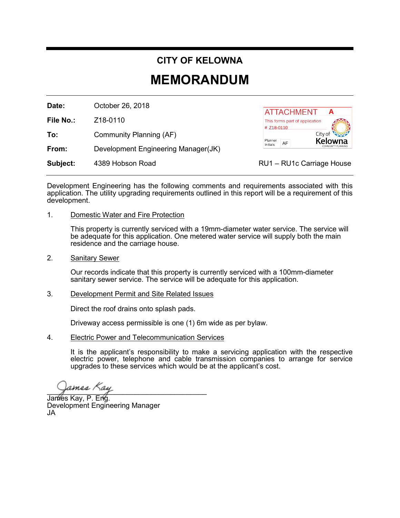## **CITY OF KELOWNA**

## **MEMORANDUM**

**Date:** October 26, 2018

**File No.:** Z18-0110

**To:** Community Planning (AF)

**From:** Development Engineering Manager(JK)

**Subject:** 4389 Hobson Road **RU1** – RU1c Carriage House



Development Engineering has the following comments and requirements associated with this application. The utility upgrading requirements outlined in this report will be a requirement of this development. **Example 18 Community Planning (AF)**<br> **A** ATTACHIMENT COMMENT COMMENT COMMENT COMMENT COMMENT COMMENT COMMENT CONDUCT CONDUCT CONDUCT CONDUCT CONDUCT CONDUCT CONDUCT CONDUCT CONDUCT CONDUCT CONDUCT CONDUCT CONDUCT CONDUCT

1. Domestic Water and Fire Protection

This property is currently serviced with a 19mm-diameter water service. The service will be adequate for this application. One metered water service will supply both the main residence and the carriage house.

2. Sanitary Sewer

Our records indicate that this property is currently serviced with a 100mm-diameter sanitary sewer service. The service will be adequate for this application.

3. Development Permit and Site Related Issues

Direct the roof drains onto splash pads.

Driveway access permissible is one (1) 6m wide as per bylaw.

4. Electric Power and Telecommunication Services

It is the applicant's responsibility to make a servicing application with the respective electric power, telephone and cable transmission companies to arrange for service upgrades to these services which would be at the applicant's cost.

 $\frac{1}{2}$ James <sub>ay</sub>

James Kay, P. Eng. Development Engineering Manager JA